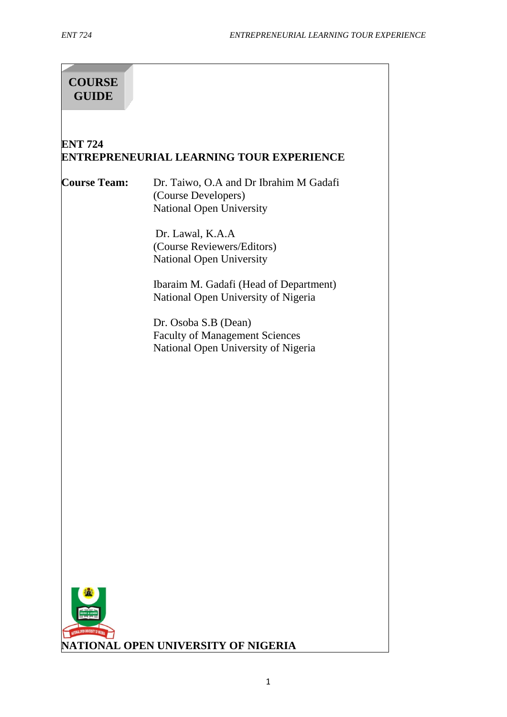# **COURSE GUIDE**

## **ENT 724 ENTREPRENEURIAL LEARNING TOUR EXPERIENCE**

**Course Team:** Dr. Taiwo, O.A and Dr Ibrahim M Gadafi (Course Developers) National Open University

> Dr. Lawal, K.A.A (Course Reviewers/Editors) National Open University

Ibaraim M. Gadafi (Head of Department) National Open University of Nigeria

Dr. Osoba S.B (Dean) Faculty of Management Sciences National Open University of Nigeria

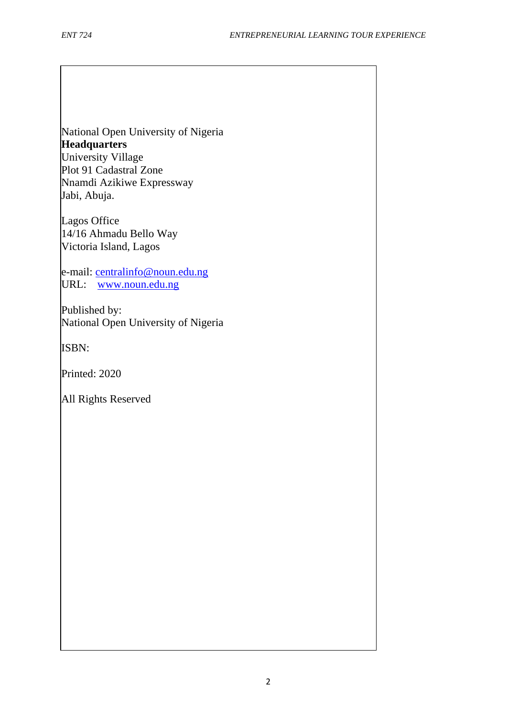National Open University of Nigeria **Headquarters** University Village Plot 91 Cadastral Zone Nnamdi Azikiwe Expressway Jabi, Abuja.

Lagos Office 14/16 Ahmadu Bello Way Victoria Island, Lagos

e-mail: [centralinfo@noun.edu.ng](mailto:centralinfo@noun.edu.ng) URL: [www.noun.edu.ng](http://www.noun.edu.ng/)

Published by: National Open University of Nigeria

ISBN:

Printed: 2020

All Rights Reserved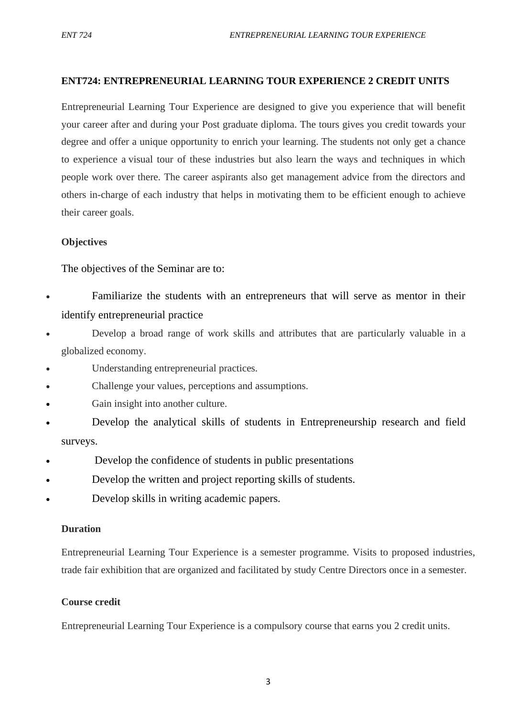## **ENT724: ENTREPRENEURIAL LEARNING TOUR EXPERIENCE 2 CREDIT UNITS**

Entrepreneurial Learning Tour Experience are designed to give you experience that will benefit your career after and during your Post graduate diploma. The tours gives you credit towards your degree and offer a unique opportunity to enrich your learning. The students not only get a chance to experience a visual tour of these industries but also learn the ways and techniques in which people work over there. The career aspirants also get management advice from the directors and others in-charge of each industry that helps in motivating them to be efficient enough to achieve their career goals.

## **Objectives**

The objectives of the Seminar are to:

- Familiarize the students with an entrepreneurs that will serve as mentor in their identify entrepreneurial practice
- Develop a broad range of work skills and attributes that are particularly valuable in a globalized economy.
- Understanding entrepreneurial practices.
- Challenge your values, perceptions and assumptions.
- Gain insight into another culture.
- Develop the analytical skills of students in Entrepreneurship research and field surveys.
- Develop the confidence of students in public presentations
- Develop the written and project reporting skills of students.
- Develop skills in writing academic papers.

## **Duration**

Entrepreneurial Learning Tour Experience is a semester programme. Visits to proposed industries, trade fair exhibition that are organized and facilitated by study Centre Directors once in a semester.

## **Course credit**

Entrepreneurial Learning Tour Experience is a compulsory course that earns you 2 credit units.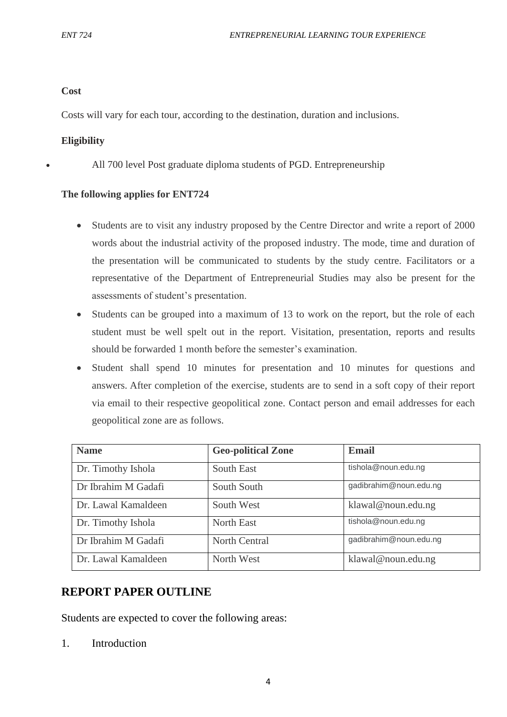## **Cost**

Costs will vary for each tour, according to the destination, duration and inclusions.

## **Eligibility**

• All 700 level Post graduate diploma students of PGD. Entrepreneurship

## **The following applies for ENT724**

- Students are to visit any industry proposed by the Centre Director and write a report of 2000 words about the industrial activity of the proposed industry. The mode, time and duration of the presentation will be communicated to students by the study centre. Facilitators or a representative of the Department of Entrepreneurial Studies may also be present for the assessments of student's presentation.
- Students can be grouped into a maximum of 13 to work on the report, but the role of each student must be well spelt out in the report. Visitation, presentation, reports and results should be forwarded 1 month before the semester's examination.
- Student shall spend 10 minutes for presentation and 10 minutes for questions and answers. After completion of the exercise, students are to send in a soft copy of their report via email to their respective geopolitical zone. Contact person and email addresses for each geopolitical zone are as follows.

| <b>Name</b>         | <b>Geo-political Zone</b> | <b>Email</b>           |
|---------------------|---------------------------|------------------------|
| Dr. Timothy Ishola  | <b>South East</b>         | tishola@noun.edu.ng    |
| Dr Ibrahim M Gadafi | South South               | gadibrahim@noun.edu.ng |
| Dr. Lawal Kamaldeen | South West                | klawal@noun.edu.ng     |
| Dr. Timothy Ishola  | North East                | tishola@noun.edu.ng    |
| Dr Ibrahim M Gadafi | <b>North Central</b>      | gadibrahim@noun.edu.ng |
| Dr. Lawal Kamaldeen | North West                | klawal@noun.edu.ng     |

# **REPORT PAPER OUTLINE**

Students are expected to cover the following areas:

1. Introduction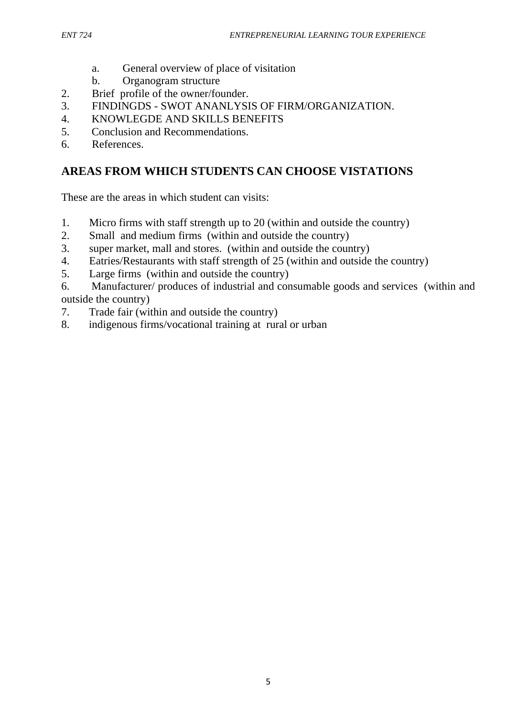- a. General overview of place of visitation
- b. Organogram structure
- 2. Brief profile of the owner/founder.
- 3. FINDINGDS SWOT ANANLYSIS OF FIRM/ORGANIZATION.
- 4. KNOWLEGDE AND SKILLS BENEFITS
- 5. Conclusion and Recommendations.
- 6. References.

# **AREAS FROM WHICH STUDENTS CAN CHOOSE VISTATIONS**

These are the areas in which student can visits:

- 1. Micro firms with staff strength up to 20 (within and outside the country)
- 2. Small and medium firms (within and outside the country)
- 3. super market, mall and stores. (within and outside the country)
- 4. Eatries/Restaurants with staff strength of 25 (within and outside the country)
- 5. Large firms (within and outside the country)

6. Manufacturer/ produces of industrial and consumable goods and services (within and outside the country)

- 7. Trade fair (within and outside the country)
- 8. indigenous firms/vocational training at rural or urban